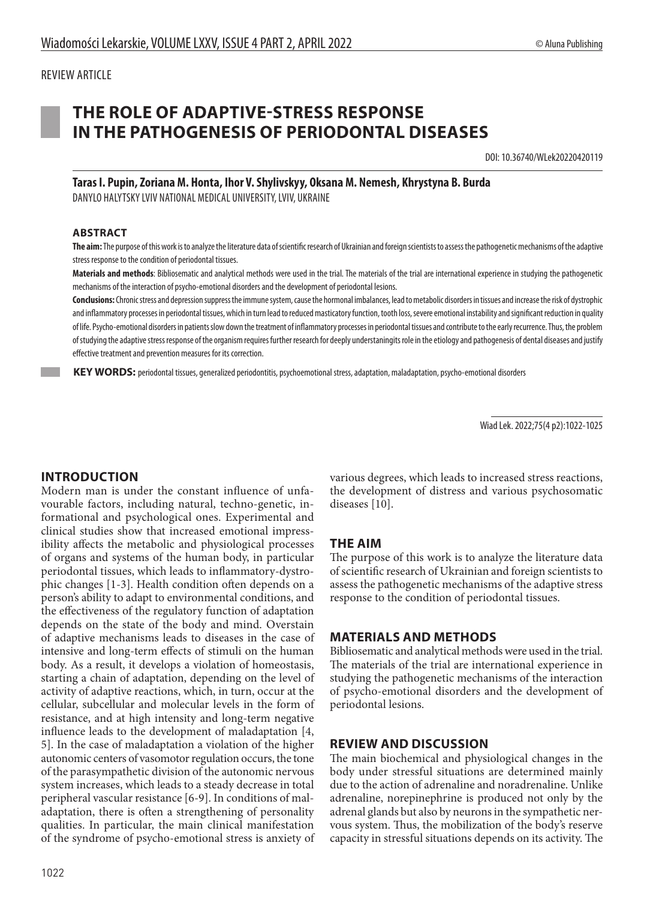# **THE ROLE OF ADAPTIVE-STRESS RESPONSE IN THE PATHOGENESIS OF PERIODONTAL DISEASES**

DOI: 10.36740/WLek20220420119

**Taras I. Pupin, Zoriana M. Honta, Ihor V. Shylivskyy, Oksana M. Nemesh, Khrystyna B. Burda** DANYLO HALYTSKY LVIV NATIONAL MEDICAL UNIVERSITY, LVIV, UKRAINE

#### **ABSTRACT**

**The aim:** The purpose of this work is to analyze the literature data of scientific research of Ukrainian and foreign scientists to assess the pathogenetic mechanisms of the adaptive stress response to the condition of periodontal tissues.

**Materials and methods**: Bibliosematic and analytical methods were used in the trial. The materials of the trial are international experience in studying the pathogenetic mechanisms of the interaction of psycho-emotional disorders and the development of periodontal lesions.

**Conclusions:** Chronic stress and depression suppress the immune system, cause the hormonal imbalances, lead to metabolic disorders in tissues and increase the risk of dystrophic and inflammatory processes in periodontal tissues, which in turn lead to reduced masticatory function, tooth loss, severe emotional instability and significant reduction in quality of life. Psycho-emotional disorders in patients slow down the treatment of inflammatory processes in periodontal tissues and contribute to the early recurrence. Thus, the problem of studying the adaptive stress response of the organism requires further research for deeply understaningits role in the etiology and pathogenesis of dental diseases and justify effective treatment and prevention measures for its correction.

 **KEY WORDS:** periodontal tissues, generalized periodontitis, psychoemotional stress, adaptation, maladaptation, psycho-emotional disorders

Wiad Lek. 2022;75(4 p2):1022-1025

#### **INTRODUCTION**

Modern man is under the constant influence of unfavourable factors, including natural, techno-genetic, informational and psychological ones. Experimental and clinical studies show that increased emotional impressibility affects the metabolic and physiological processes of organs and systems of the human body, in particular periodontal tissues, which leads to inflammatory-dystrophic changes [1-3]. Health condition often depends on a person's ability to adapt to environmental conditions, and the effectiveness of the regulatory function of adaptation depends on the state of the body and mind. Overstain of adaptive mechanisms leads to diseases in the case of intensive and long-term effects of stimuli on the human body. As a result, it develops a violation of homeostasis, starting a chain of adaptation, depending on the level of activity of adaptive reactions, which, in turn, occur at the cellular, subcellular and molecular levels in the form of resistance, and at high intensity and long-term negative influence leads to the development of maladaptation [4, 5]. In the case of maladaptation a violation of the higher autonomic centers of vasomotor regulation occurs, the tone of the parasympathetic division of the autonomic nervous system increases, which leads to a steady decrease in total peripheral vascular resistance [6-9]. In conditions of maladaptation, there is often a strengthening of personality qualities. In particular, the main clinical manifestation of the syndrome of psycho-emotional stress is anxiety of

various degrees, which leads to increased stress reactions, the development of distress and various psychosomatic diseases [10].

#### **THE AIM**

The purpose of this work is to analyze the literature data of scientific research of Ukrainian and foreign scientists to assess the pathogenetic mechanisms of the adaptive stress response to the condition of periodontal tissues.

### **MATERIALS AND METHODS**

Bibliosematic and analytical methods were used in the trial. The materials of the trial are international experience in studying the pathogenetic mechanisms of the interaction of psycho-emotional disorders and the development of periodontal lesions.

### **REVIEW AND DISCUSSION**

The main biochemical and physiological changes in the body under stressful situations are determined mainly due to the action of adrenaline and noradrenaline. Unlike adrenaline, norepinephrine is produced not only by the adrenal glands but also by neurons in the sympathetic nervous system. Thus, the mobilization of the body's reserve capacity in stressful situations depends on its activity. The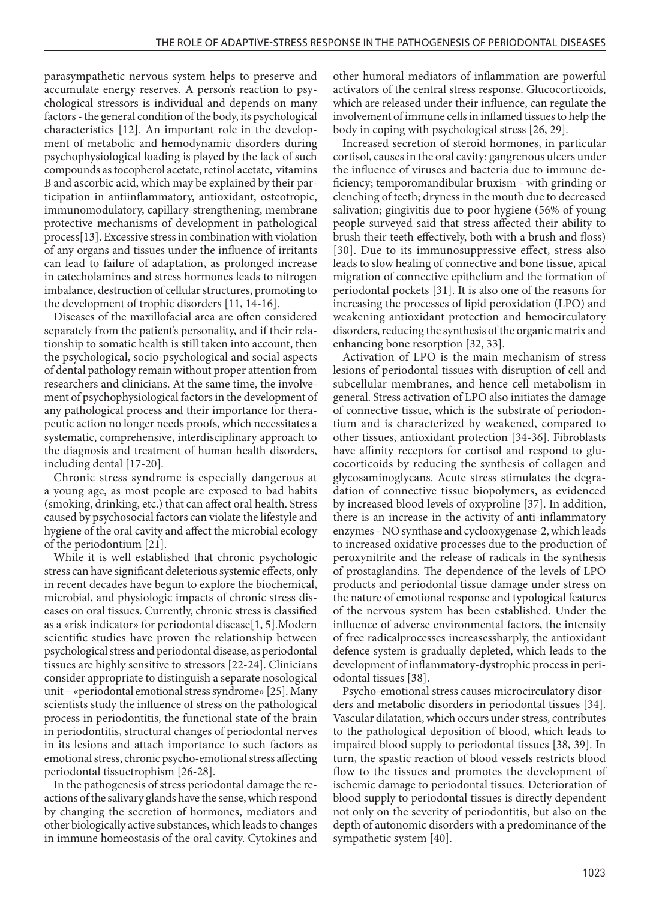parasympathetic nervous system helps to preserve and accumulate energy reserves. A person's reaction to psychological stressors is individual and depends on many factors - the general condition of the body, its psychological characteristics [12]. An important role in the development of metabolic and hemodynamic disorders during psychophysiological loading is played by the lack of such compounds as tocopherol acetate, retinol acetate, vitamins B and ascorbic acid, which may be explained by their participation in antiinflammatory, antioxidant, osteotropic, immunomodulatory, capillary-strengthening, membrane protective mechanisms of development in pathological process[13]. Excessive stress in combination with violation of any organs and tissues under the influence of irritants can lead to failure of adaptation, as prolonged increase in catecholamines and stress hormones leads to nitrogen imbalance, destruction of cellular structures, promoting to the development of trophic disorders [11, 14-16].

Diseases of the maxillofacial area are often considered separately from the patient's personality, and if their relationship to somatic health is still taken into account, then the psychological, socio-psychological and social aspects of dental pathology remain without proper attention from researchers and clinicians. At the same time, the involvement of psychophysiological factors in the development of any pathological process and their importance for therapeutic action no longer needs proofs, which necessitates a systematic, comprehensive, interdisciplinary approach to the diagnosis and treatment of human health disorders, including dental [17-20].

Chronic stress syndrome is especially dangerous at a young age, as most people are exposed to bad habits (smoking, drinking, etc.) that can affect oral health. Stress caused by psychosocial factors can violate the lifestyle and hygiene of the oral cavity and affect the microbial ecology of the periodontium [21].

While it is well established that chronic psychologic stress can have significant deleterious systemic effects, only in recent decades have begun to explore the biochemical, microbial, and physiologic impacts of chronic stress diseases on oral tissues. Currently, chronic stress is classified as a «risk indicator» for periodontal disease[1, 5].Modern scientific studies have proven the relationship between psychological stress and periodontal disease, as periodontal tissues are highly sensitive to stressors [22-24]. Clinicians consider appropriate to distinguish a separate nosological unit – «periodontal emotional stress syndrome» [25]. Many scientists study the influence of stress on the pathological process in periodontitis, the functional state of the brain in periodontitis, structural changes of periodontal nerves in its lesions and attach importance to such factors as emotional stress, chronic psycho-emotional stress affecting periodontal tissuetrophism [26-28].

In the pathogenesis of stress periodontal damage the reactions of the salivary glands have the sense, which respond by changing the secretion of hormones, mediators and other biologically active substances, which leads to changes in immune homeostasis of the oral cavity. Cytokines and

other humoral mediators of inflammation are powerful activators of the central stress response. Glucocorticoids, which are released under their influence, can regulate the involvement of immune cells in inflamed tissues to help the body in coping with psychological stress [26, 29].

Increased secretion of steroid hormones, in particular cortisol, causes in the oral cavity: gangrenous ulcers under the influence of viruses and bacteria due to immune deficiency; temporomandibular bruxism - with grinding or clenching of teeth; dryness in the mouth due to decreased salivation; gingivitis due to poor hygiene (56% of young people surveyed said that stress affected their ability to brush their teeth effectively, both with a brush and floss) [30]. Due to its immunosuppressive effect, stress also leads to slow healing of connective and bone tissue, apical migration of connective epithelium and the formation of periodontal pockets [31]. It is also one of the reasons for increasing the processes of lipid peroxidation (LPO) and weakening antioxidant protection and hemocirculatory disorders, reducing the synthesis of the organic matrix and enhancing bone resorption [32, 33].

Activation of LPO is the main mechanism of stress lesions of periodontal tissues with disruption of cell and subcellular membranes, and hence cell metabolism in general. Stress activation of LPO also initiates the damage of connective tissue, which is the substrate of periodontium and is characterized by weakened, compared to other tissues, antioxidant protection [34-36]. Fibroblasts have affinity receptors for cortisol and respond to glucocorticoids by reducing the synthesis of collagen and glycosaminoglycans. Acute stress stimulates the degradation of connective tissue biopolymers, as evidenced by increased blood levels of oxyproline [37]. In addition, there is an increase in the activity of anti-inflammatory enzymes - NO synthase and cyclooxygenase-2, which leads to increased oxidative processes due to the production of peroxynitrite and the release of radicals in the synthesis of prostaglandins. The dependence of the levels of LPO products and periodontal tissue damage under stress on the nature of emotional response and typological features of the nervous system has been established. Under the influence of adverse environmental factors, the intensity of free radicalprocesses increasessharply, the antioxidant defence system is gradually depleted, which leads to the development of inflammatory-dystrophic process in periodontal tissues [38].

Psycho-emotional stress causes microcirculatory disorders and metabolic disorders in periodontal tissues [34]. Vascular dilatation, which occurs under stress, contributes to the pathological deposition of blood, which leads to impaired blood supply to periodontal tissues [38, 39]. In turn, the spastic reaction of blood vessels restricts blood flow to the tissues and promotes the development of ischemic damage to periodontal tissues. Deterioration of blood supply to periodontal tissues is directly dependent not only on the severity of periodontitis, but also on the depth of autonomic disorders with a predominance of the sympathetic system [40].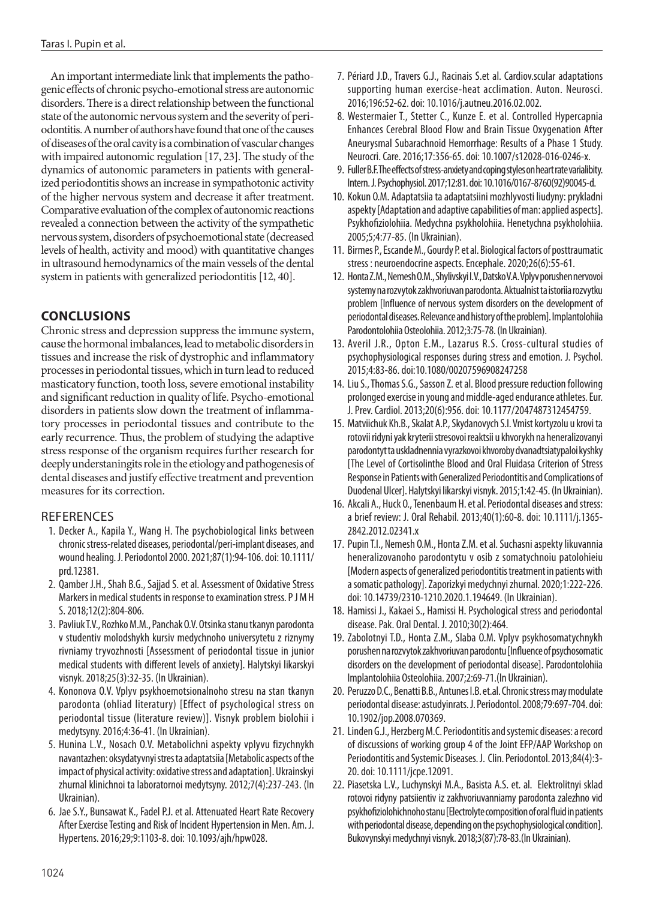An important intermediate link that implements the pathogenic effects of chronic psycho-emotional stress are autonomic disorders. There is a direct relationship between the functional state of the autonomic nervous system and the severity of periodontitis. A number of authors have found that one of the causes of diseases of the oral cavity is a combination of vascular changes with impaired autonomic regulation [17, 23]. The study of the dynamics of autonomic parameters in patients with generalized periodontitis shows an increase in sympathotonic activity of the higher nervous system and decrease it after treatment. Comparative evaluation of the complex of autonomic reactions revealed a connection between the activity of the sympathetic nervous system, disorders of psychoemotional state (decreased levels of health, activity and mood) with quantitative changes in ultrasound hemodynamics of the main vessels of the dental system in patients with generalized periodontitis [12, 40].

# **CONCLUSIONS**

Chronic stress and depression suppress the immune system, cause the hormonal imbalances, lead to metabolic disorders in tissues and increase the risk of dystrophic and inflammatory processes in periodontal tissues, which in turn lead to reduced masticatory function, tooth loss, severe emotional instability and significant reduction in quality of life. Psycho-emotional disorders in patients slow down the treatment of inflammatory processes in periodontal tissues and contribute to the early recurrence. Thus, the problem of studying the adaptive stress response of the organism requires further research for deeply understaningits role in the etiology and pathogenesis of dental diseases and justify effective treatment and prevention measures for its correction.

### **REFERENCES**

- 1. Decker A., Kapila Y., Wang H. The psychobiological links between chronic stress-related diseases, periodontal/peri-implant diseases, and wound healing. J. Periodontol 2000. 2021;87(1):94-106. doi: 10.1111/ prd.12381.
- 2. Qamber J.H., Shah B.G., Sajjad S. et al. Assessment of Oxidative Stress Markers in medical students in response to examination stress. P J M H S. 2018;12(2):804-806.
- 3. Pavliuk T.V., Rozhko M.M., Panchak O.V. Otsinka stanu tkanyn parodonta v studentiv molodshykh kursiv medychnoho universytetu z riznymy rivniamy tryvozhnosti [Assessment of periodontal tissue in junior medical students with different levels of anxiety]. Halytskyi likarskyi visnyk. 2018;25(3):32-35. (In Ukrainian).
- 4. Kononova O.V. Vplyv psykhoemotsionalnoho stresu na stan tkanyn parodonta (ohliad literatury) [Effect of psychological stress on periodontal tissue (literature review)]. Visnyk problem biolohii i medytsyny. 2016;4:36-41. (In Ukrainian).
- 5. Hunina L.V., Nosach O.V. Metabolichni aspekty vplyvu fizychnykh navantazhen: oksydatyvnyi stres ta adaptatsiia [Metabolic aspects of the impact of physical activity: oxidative stress and adaptation]. Ukrainskyi zhurnal klinichnoi ta laboratornoi medytsyny. 2012;7(4):237-243. (In Ukrainian).
- 6. Jae S.Y., Bunsawat K., Fadel P.J. et al. Attenuated Heart Rate Recovery After Exercise Testing and Risk of Incident Hypertension in Men. Am. J. Hypertens. 2016;29;9:1103-8. doi: 10.1093/ajh/hpw028.
- 7. Périard J.D., Travers G.J., Racinais S.et al. Cardiov.scular adaptations supporting human exercise-heat acclimation. Auton. Neurosci. 2016;196:52-62. doi: 10.1016/j.autneu.2016.02.002.
- 8. Westermaier T., Stetter C., Kunze E. et al. Controlled Hypercapnia Enhances Cerebral Blood Flow and Brain Tissue Oxygenation After Aneurysmal Subarachnoid Hemorrhage: Results of a Phase 1 Study. Neurocri. Care. 2016;17:356-65. doi: 10.1007/s12028-016-0246-x.
- 9. Fuller B.F. The effects of stress-anxiety and coping styles on heart rate varialibity. Intern. J. Psychophysiol. 2017;12:81. doi: 10.1016/0167-8760(92)90045-d.
- 10. Kokun O.M. Adaptatsiia ta adaptatsiini mozhlyvosti liudyny: prykladni aspekty [Adaptation and adaptive capabilities of man: applied aspects]. Psykhofiziolohiia. Medychna psykholohiia. Henetychna psykholohiia. 2005;5;4:77-85. (In Ukrainian).
- 11. Birmes P., Escande M., Gourdy P. et al. Biological factors of posttraumatic stress : neuroendocrine aspects. Encephale. 2020;26(6):55-61.
- 12. Honta Z.M., Nemesh O.M., Shylivskyi I.V., Datsko V.A. Vplyv porushen nervovoi systemy na rozvytok zakhvoriuvan parodonta. Aktualnist ta istoriia rozvytku problem [Influence of nervous system disorders on the development of periodontal diseases. Relevance and history of the problem]. Implantolohiia Parodontolohiia Osteolohiia. 2012;3:75-78. (In Ukrainian).
- 13. Averil J.R., Opton E.M., Lazarus R.S. Cross-cultural studies of psychophysiological responses during stress and emotion. J. Psychol. 2015;4:83-86. doi:10.1080/00207596908247258
- 14. Liu S., Thomas S.G., Sasson Z. et al. Blood pressure reduction following prolonged exercise in young and middle-aged endurance athletes. Eur. J. Prev. Cardiol. 2013;20(6):956. doi: 10.1177/2047487312454759.
- 15. Matviichuk Kh.B., Skalat A.P., Skydanovych S.I. Vmist kortyzolu u krovi ta rotovii ridyni yak kryterii stresovoi reaktsii u khvorykh na heneralizovanyi parodontyt ta uskladnennia vyrazkovoi khvoroby dvanadtsiatypaloi kyshky [The Level of Cortisolinthe Blood and Oral Fluidasa Criterion of Stress Response in Patients with Generalized Periodontitis and Complications of Duodenal Ulcer]. Halytskyi likarskyi visnyk. 2015;1:42-45. (In Ukrainian).
- 16. Akcali A., Huck O., Tenenbaum H. et al. Periodontal diseases and stress: a brief review: J. Oral Rehabil. 2013;40(1):60-8. doi: 10.1111/j.1365- 2842.2012.02341.x
- 17. Pupin T.I., Nemesh O.M., Honta Z.M. et al. Suchasni aspekty likuvannia heneralizovanoho parodontytu v osib z somatychnoiu patolohieiu [Modern aspects of generalized periodontitis treatment in patients with a somatic pathology]. Zaporizkyi medychnyi zhurnal. 2020;1:222-226. doi: 10.14739/2310-1210.2020.1.194649. (In Ukrainian).
- 18. Hamissi J., Kakaei S., Hamissi H. Psychological stress and periodontal disease. Pak. Oral Dental. J. 2010;30(2):464.
- 19. Zabolotnyi T.D., Honta Z.M., Slaba O.M. Vplyv psykhosomatychnykh porushen na rozvytok zakhvoriuvan parodontu [Influence of psychosomatic disorders on the development of periodontal disease]. Parodontolohiia Implantolohiia Osteolohiia. 2007;2:69-71.(In Ukrainian).
- 20. Peruzzo D.C., Benatti B.B., Antunes I.B. et.al. Chronic stress may modulate periodontal disease: astudyinrats. J. Periodontol. 2008;79:697-704. doi: 10.1902/jop.2008.070369.
- 21. Linden G.J., Herzberg M.C. Periodontitis and systemic diseases: a record of discussions of working group 4 of the Joint EFP/AAP Workshop on Periodontitis and Systemic Diseases. J. Clin. Periodontol. 2013;84(4):3- 20. doi: 10.1111/jcpe.12091.
- 22. Piasetska L.V., Luchynskyi M.A., Basista A.S. et. al. Elektrolitnyi sklad rotovoi ridyny patsiientiv iz zakhvoriuvanniamy parodonta zalezhno vid psykhofiziolohichnoho stanu [Electrolyte composition of oral fluid in patients with periodontal disease, depending on the psychophysiological condition]. Bukovynskyi medychnyi visnyk. 2018;3(87):78-83.(In Ukrainian).